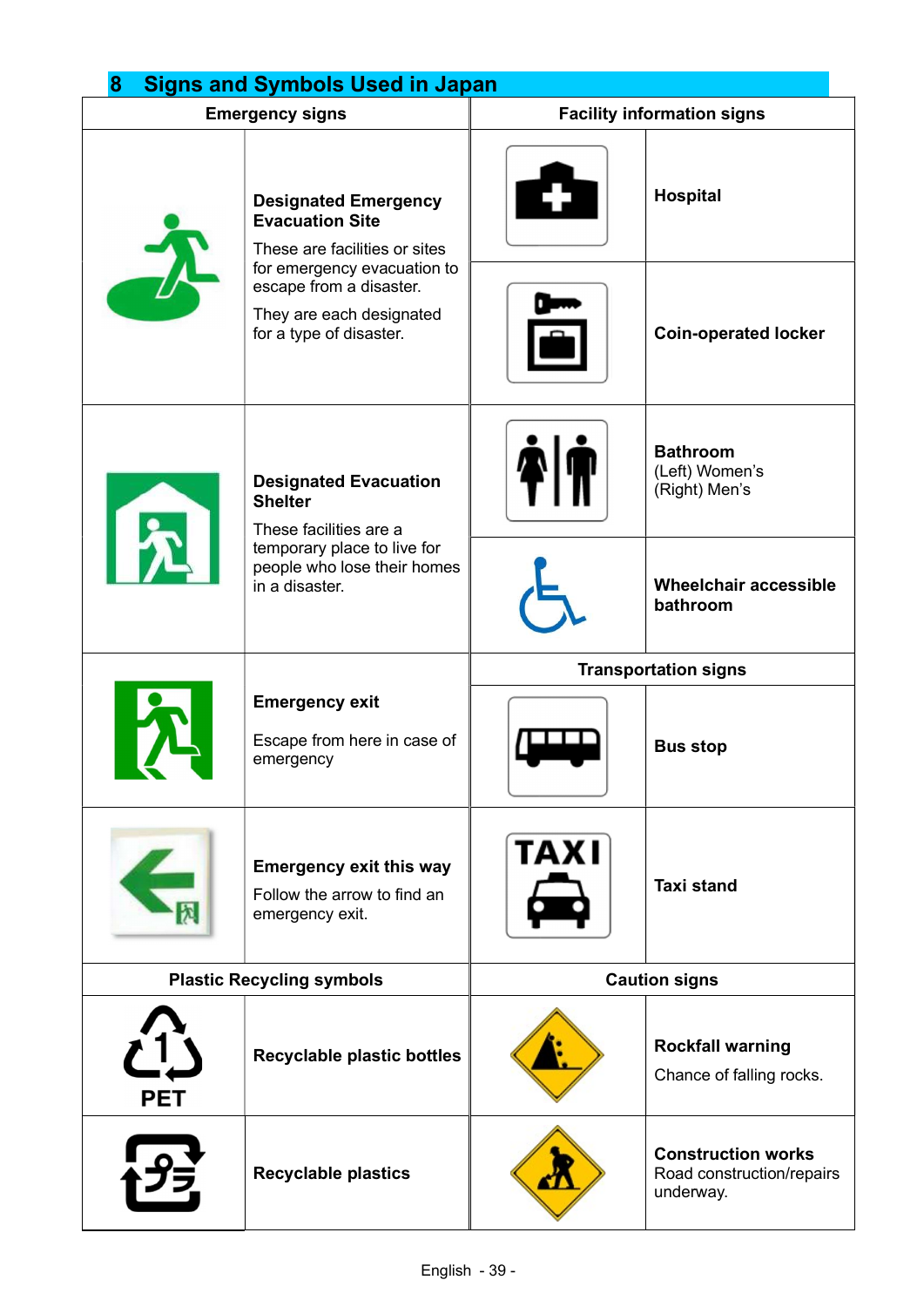| 8<br><b>Signs and Symbols Used in Japan</b> |                                                                                                                                                                                                         |                                   |                                                                     |  |
|---------------------------------------------|---------------------------------------------------------------------------------------------------------------------------------------------------------------------------------------------------------|-----------------------------------|---------------------------------------------------------------------|--|
| <b>Emergency signs</b>                      |                                                                                                                                                                                                         | <b>Facility information signs</b> |                                                                     |  |
|                                             | <b>Designated Emergency</b><br><b>Evacuation Site</b><br>These are facilities or sites<br>for emergency evacuation to<br>escape from a disaster.<br>They are each designated<br>for a type of disaster. |                                   | <b>Hospital</b>                                                     |  |
|                                             |                                                                                                                                                                                                         |                                   | <b>Coin-operated locker</b>                                         |  |
| $\mathbf{F}$                                | <b>Designated Evacuation</b><br><b>Shelter</b><br>These facilities are a<br>temporary place to live for<br>people who lose their homes<br>in a disaster.                                                |                                   | <b>Bathroom</b><br>(Left) Women's<br>(Right) Men's                  |  |
|                                             |                                                                                                                                                                                                         |                                   | <b>Wheelchair accessible</b><br>bathroom                            |  |
|                                             | <b>Emergency exit</b><br>Escape from here in case of<br>emergency                                                                                                                                       | <b>Transportation signs</b>       |                                                                     |  |
|                                             |                                                                                                                                                                                                         |                                   | <b>Bus stop</b>                                                     |  |
|                                             | <b>Emergency exit this way</b><br>Follow the arrow to find an<br>emergency exit.                                                                                                                        | <b>TAXI</b>                       | <b>Taxi stand</b>                                                   |  |
| <b>Plastic Recycling symbols</b>            |                                                                                                                                                                                                         | <b>Caution signs</b>              |                                                                     |  |
| PET                                         | <b>Recyclable plastic bottles</b>                                                                                                                                                                       |                                   | <b>Rockfall warning</b><br>Chance of falling rocks.                 |  |
|                                             | <b>Recyclable plastics</b>                                                                                                                                                                              |                                   | <b>Construction works</b><br>Road construction/repairs<br>underway. |  |